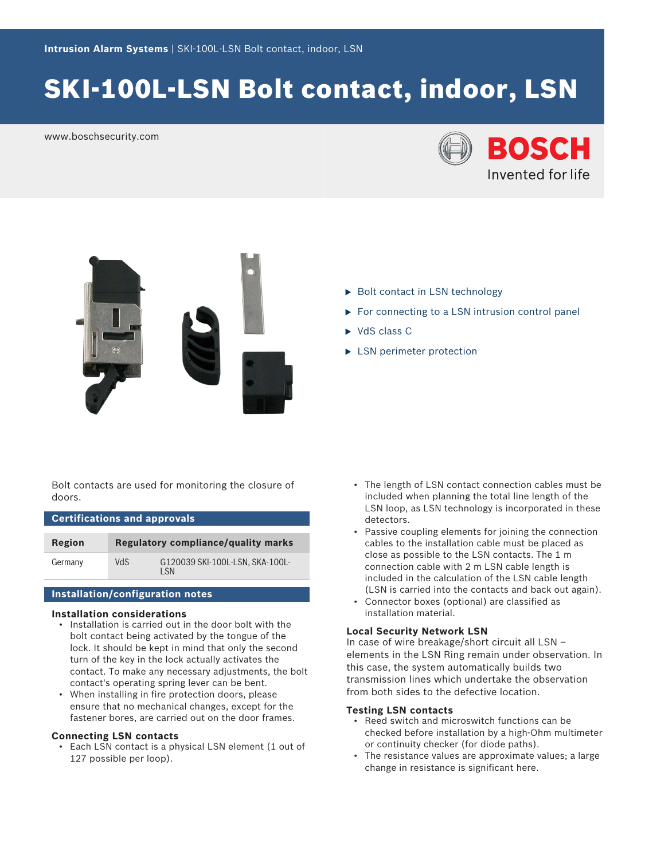# SKI-100L-LSN Bolt contact, indoor, LSN

www.boschsecurity.com





- $\triangleright$  Bolt contact in LSN technology
- $\triangleright$  For connecting to a LSN intrusion control panel
- $\triangleright$  VdS class C
- $\blacktriangleright$  LSN perimeter protection

Bolt contacts are used for monitoring the closure of doors.

## **Certifications and approvals**

| Region  |     | Regulatory compliance/quality marks     |
|---------|-----|-----------------------------------------|
| Germany | VdS | G120039 SKI-100L-LSN, SKA-100L-<br>I SN |

#### **Installation/configuration notes**

#### **Installation considerations**

- Installation is carried out in the door bolt with the bolt contact being activated by the tongue of the lock. It should be kept in mind that only the second turn of the key in the lock actually activates the contact. To make any necessary adjustments, the bolt contact's operating spring lever can be bent.
- When installing in fire protection doors, please ensure that no mechanical changes, except for the fastener bores, are carried out on the door frames.

#### **Connecting LSN contacts**

• Each LSN contact is a physical LSN element (1 out of 127 possible per loop).

- The length of LSN contact connection cables must be included when planning the total line length of the LSN loop, as LSN technology is incorporated in these detectors.
- Passive coupling elements for joining the connection cables to the installation cable must be placed as close as possible to the LSN contacts. The 1 m connection cable with 2 m LSN cable length is included in the calculation of the LSN cable length (LSN is carried into the contacts and back out again).
- Connector boxes (optional) are classified as installation material.

#### **Local Security Network LSN**

In case of wire breakage/short circuit all LSN – elements in the LSN Ring remain under observation. In this case, the system automatically builds two transmission lines which undertake the observation from both sides to the defective location.

#### **Testing LSN contacts**

- Reed switch and microswitch functions can be checked before installation by a high-Ohm multimeter or continuity checker (for diode paths).
- The resistance values are approximate values; a large change in resistance is significant here.